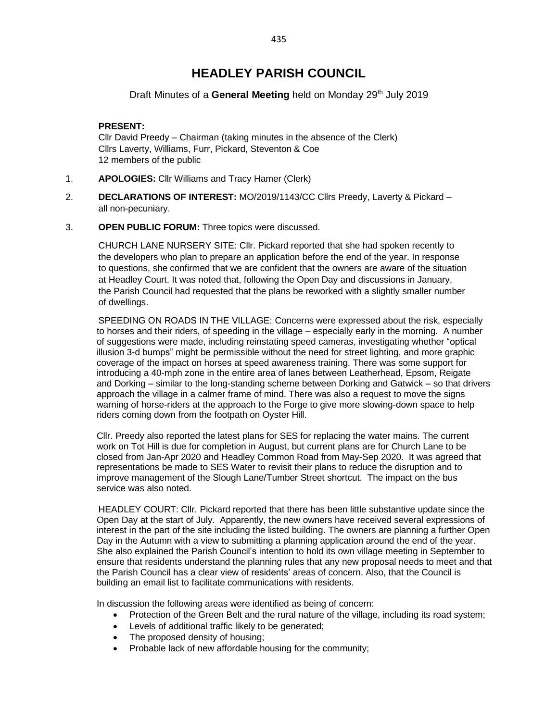# **HEADLEY PARISH COUNCIL**

## Draft Minutes of a General Meeting held on Monday 29<sup>th</sup> July 2019

## **PRESENT:**

Cllr David Preedy – Chairman (taking minutes in the absence of the Clerk) Cllrs Laverty, Williams, Furr, Pickard, Steventon & Coe 12 members of the public

- 1. **APOLOGIES:** Cllr Williams and Tracy Hamer (Clerk)
- 2. **DECLARATIONS OF INTEREST:** MO/2019/1143/CC Cllrs Preedy, Laverty & Pickard all non-pecuniary.
- 3. **OPEN PUBLIC FORUM:** Three topics were discussed.

CHURCH LANE NURSERY SITE: Cllr. Pickard reported that she had spoken recently to the developers who plan to prepare an application before the end of the year. In response to questions, she confirmed that we are confident that the owners are aware of the situation at Headley Court. It was noted that, following the Open Day and discussions in January, the Parish Council had requested that the plans be reworked with a slightly smaller number of dwellings.

SPEEDING ON ROADS IN THE VILLAGE: Concerns were expressed about the risk, especially to horses and their riders, of speeding in the village – especially early in the morning. A number of suggestions were made, including reinstating speed cameras, investigating whether "optical illusion 3-d bumps" might be permissible without the need for street lighting, and more graphic coverage of the impact on horses at speed awareness training. There was some support for introducing a 40-mph zone in the entire area of lanes between Leatherhead, Epsom, Reigate and Dorking – similar to the long-standing scheme between Dorking and Gatwick – so that drivers approach the village in a calmer frame of mind. There was also a request to move the signs warning of horse-riders at the approach to the Forge to give more slowing-down space to help riders coming down from the footpath on Oyster Hill.

Cllr. Preedy also reported the latest plans for SES for replacing the water mains. The current work on Tot Hill is due for completion in August, but current plans are for Church Lane to be closed from Jan-Apr 2020 and Headley Common Road from May-Sep 2020. It was agreed that representations be made to SES Water to revisit their plans to reduce the disruption and to improve management of the Slough Lane/Tumber Street shortcut. The impact on the bus service was also noted.

HEADLEY COURT: Cllr. Pickard reported that there has been little substantive update since the Open Day at the start of July. Apparently, the new owners have received several expressions of interest in the part of the site including the listed building. The owners are planning a further Open Day in the Autumn with a view to submitting a planning application around the end of the year. She also explained the Parish Council's intention to hold its own village meeting in September to ensure that residents understand the planning rules that any new proposal needs to meet and that the Parish Council has a clear view of residents' areas of concern. Also, that the Council is building an email list to facilitate communications with residents.

In discussion the following areas were identified as being of concern:

- Protection of the Green Belt and the rural nature of the village, including its road system;
- Levels of additional traffic likely to be generated;
- The proposed density of housing;
- Probable lack of new affordable housing for the community;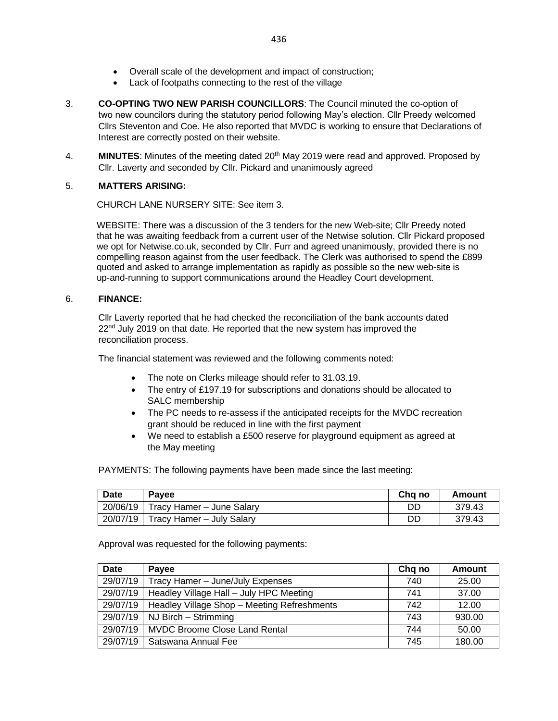- Overall scale of the development and impact of construction;
- Lack of footpaths connecting to the rest of the village
- 3. **CO-OPTING TWO NEW PARISH COUNCILLORS**: The Council minuted the co-option of two new councilors during the statutory period following May's election. Cllr Preedy welcomed Cllrs Steventon and Coe. He also reported that MVDC is working to ensure that Declarations of Interest are correctly posted on their website.
- 4. **MINUTES**: Minutes of the meeting dated 20th May 2019 were read and approved. Proposed by Cllr. Laverty and seconded by Cllr. Pickard and unanimously agreed

## 5. **MATTERS ARISING:**

CHURCH LANE NURSERY SITE: See item 3.

WEBSITE: There was a discussion of the 3 tenders for the new Web-site; Cllr Preedy noted that he was awaiting feedback from a current user of the Netwise solution. Cllr Pickard proposed we opt for Netwise.co.uk, seconded by Cllr. Furr and agreed unanimously, provided there is no compelling reason against from the user feedback. The Clerk was authorised to spend the £899 quoted and asked to arrange implementation as rapidly as possible so the new web-site is up-and-running to support communications around the Headley Court development.

#### 6. **FINANCE:**

Cllr Laverty reported that he had checked the reconciliation of the bank accounts dated  $22<sup>nd</sup>$  July 2019 on that date. He reported that the new system has improved the reconciliation process.

The financial statement was reviewed and the following comments noted:

- The note on Clerks mileage should refer to 31.03.19.
- The entry of £197.19 for subscriptions and donations should be allocated to SALC membership
- The PC needs to re-assess if the anticipated receipts for the MVDC recreation grant should be reduced in line with the first payment
- We need to establish a £500 reserve for playground equipment as agreed at the May meeting

PAYMENTS: The following payments have been made since the last meeting:

| <b>Date</b> | <b>Pavee</b>                         | Chg no | Amount |
|-------------|--------------------------------------|--------|--------|
|             | 20/06/19 Tracy Hamer - June Salary   | DD     | 379.43 |
|             | $20/07/19$ Tracy Hamer - July Salary | DD     | 379.43 |

Approval was requested for the following payments:

| <b>Date</b> | Payee                                       | Chq no | <b>Amount</b> |
|-------------|---------------------------------------------|--------|---------------|
| 29/07/19    | Tracy Hamer - June/July Expenses            | 740    | 25.00         |
| 29/07/19    | Headley Village Hall - July HPC Meeting     | 741    | 37.00         |
| 29/07/19    | Headley Village Shop - Meeting Refreshments | 742    | 12.00         |
| 29/07/19    | NJ Birch - Strimming                        | 743    | 930.00        |
| 29/07/19    | <b>MVDC Broome Close Land Rental</b>        | 744    | 50.00         |
| 29/07/19    | Satswana Annual Fee                         | 745    | 180.00        |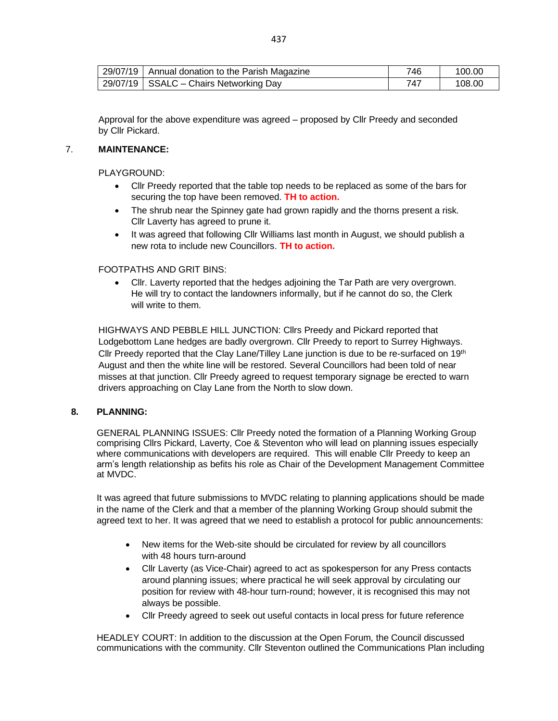| 29/07/19   Annual donation to the Parish Magazine | 746 | 100.00 |
|---------------------------------------------------|-----|--------|
| 29/07/19   SSALC - Chairs Networking Day          |     | 108.00 |

Approval for the above expenditure was agreed – proposed by Cllr Preedy and seconded by Cllr Pickard.

#### 7. **MAINTENANCE:**

PLAYGROUND:

- Cllr Preedy reported that the table top needs to be replaced as some of the bars for securing the top have been removed. **TH to action.**
- The shrub near the Spinney gate had grown rapidly and the thorns present a risk. Cllr Laverty has agreed to prune it.
- It was agreed that following Cllr Williams last month in August, we should publish a new rota to include new Councillors. **TH to action.**

## FOOTPATHS AND GRIT BINS:

• Cllr. Laverty reported that the hedges adjoining the Tar Path are very overgrown. He will try to contact the landowners informally, but if he cannot do so, the Clerk will write to them.

HIGHWAYS AND PEBBLE HILL JUNCTION: Cllrs Preedy and Pickard reported that Lodgebottom Lane hedges are badly overgrown. Cllr Preedy to report to Surrey Highways. Cllr Preedy reported that the Clay Lane/Tilley Lane junction is due to be re-surfaced on  $19<sup>th</sup>$ August and then the white line will be restored. Several Councillors had been told of near misses at that junction. Cllr Preedy agreed to request temporary signage be erected to warn drivers approaching on Clay Lane from the North to slow down.

#### **8. PLANNING:**

GENERAL PLANNING ISSUES: Cllr Preedy noted the formation of a Planning Working Group comprising Cllrs Pickard, Laverty, Coe & Steventon who will lead on planning issues especially where communications with developers are required. This will enable Cllr Preedy to keep an arm's length relationship as befits his role as Chair of the Development Management Committee at MVDC.

It was agreed that future submissions to MVDC relating to planning applications should be made in the name of the Clerk and that a member of the planning Working Group should submit the agreed text to her. It was agreed that we need to establish a protocol for public announcements:

- New items for the Web-site should be circulated for review by all councillors with 48 hours turn-around
- Cllr Laverty (as Vice-Chair) agreed to act as spokesperson for any Press contacts around planning issues; where practical he will seek approval by circulating our position for review with 48-hour turn-round; however, it is recognised this may not always be possible.
- Cllr Preedy agreed to seek out useful contacts in local press for future reference

HEADLEY COURT: In addition to the discussion at the Open Forum, the Council discussed communications with the community. Cllr Steventon outlined the Communications Plan including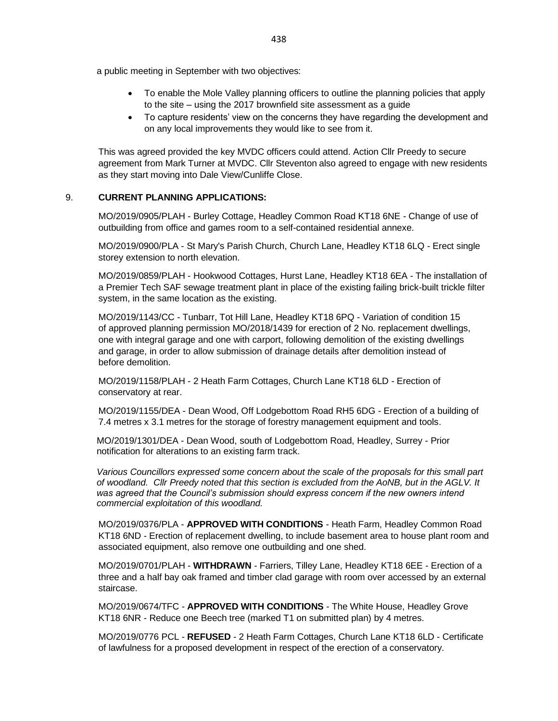a public meeting in September with two objectives:

- To enable the Mole Valley planning officers to outline the planning policies that apply to the site – using the 2017 brownfield site assessment as a guide
- To capture residents' view on the concerns they have regarding the development and on any local improvements they would like to see from it.

This was agreed provided the key MVDC officers could attend. Action Cllr Preedy to secure agreement from Mark Turner at MVDC. Cllr Steventon also agreed to engage with new residents as they start moving into Dale View/Cunliffe Close.

#### 9. **CURRENT PLANNING APPLICATIONS:**

MO/2019/0905/PLAH - Burley Cottage, Headley Common Road KT18 6NE - Change of use of outbuilding from office and games room to a self-contained residential annexe.

MO/2019/0900/PLA - St Mary's Parish Church, Church Lane, Headley KT18 6LQ - Erect single storey extension to north elevation.

MO/2019/0859/PLAH - Hookwood Cottages, Hurst Lane, Headley KT18 6EA - The installation of a Premier Tech SAF sewage treatment plant in place of the existing failing brick-built trickle filter system, in the same location as the existing.

MO/2019/1143/CC - Tunbarr, Tot Hill Lane, Headley KT18 6PQ - Variation of condition 15 of approved planning permission MO/2018/1439 for erection of 2 No. replacement dwellings, one with integral garage and one with carport, following demolition of the existing dwellings and garage, in order to allow submission of drainage details after demolition instead of before demolition.

MO/2019/1158/PLAH - 2 Heath Farm Cottages, Church Lane KT18 6LD - Erection of conservatory at rear.

MO/2019/1155/DEA - Dean Wood, Off Lodgebottom Road RH5 6DG - Erection of a building of 7.4 metres x 3.1 metres for the storage of forestry management equipment and tools.

MO/2019/1301/DEA - Dean Wood, south of Lodgebottom Road, Headley, Surrey - Prior notification for alterations to an existing farm track.

*Various Councillors expressed some concern about the scale of the proposals for this small part of woodland. Cllr Preedy noted that this section is excluded from the AoNB, but in the AGLV. It was agreed that the Council's submission should express concern if the new owners intend commercial exploitation of this woodland.*

MO/2019/0376/PLA - **APPROVED WITH CONDITIONS** - Heath Farm, Headley Common Road KT18 6ND - Erection of replacement dwelling, to include basement area to house plant room and associated equipment, also remove one outbuilding and one shed.

MO/2019/0701/PLAH - **WITHDRAWN** - Farriers, Tilley Lane, Headley KT18 6EE - Erection of a three and a half bay oak framed and timber clad garage with room over accessed by an external staircase.

MO/2019/0674/TFC - **APPROVED WITH CONDITIONS** - The White House, Headley Grove KT18 6NR - Reduce one Beech tree (marked T1 on submitted plan) by 4 metres.

MO/2019/0776 PCL - **REFUSED** - 2 Heath Farm Cottages, Church Lane KT18 6LD - Certificate of lawfulness for a proposed development in respect of the erection of a conservatory.